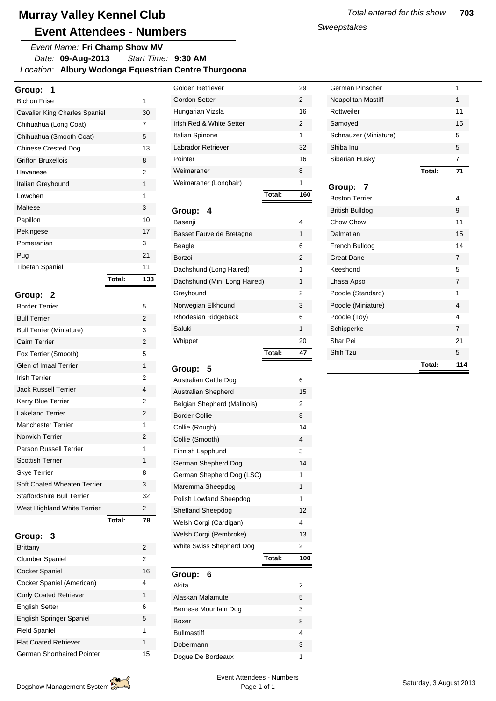*Date:* **09-Aug-2013** *Location:* **Albury Wodonga Equestrian Centre Thurgoona** *Start Time:* **9:30 AM** *Event Name:* **Fri Champ Show MV**

| Group:                               |        |     |
|--------------------------------------|--------|-----|
| <b>Bichon Frise</b>                  |        | 1   |
| <b>Cavalier King Charles Spaniel</b> |        | 30  |
| Chihuahua (Long Coat)                |        | 7   |
| Chihuahua (Smooth Coat)              |        | 5   |
| <b>Chinese Crested Dog</b>           |        | 13  |
| Griffon Bruxellois                   |        | 8   |
| Havanese                             |        | 2   |
| Italian Greyhound                    |        | 1   |
| I owchen                             |        | 1   |
| Maltese                              |        | 3   |
| Papillon                             |        | 10  |
| Pekingese                            |        | 17  |
| Pomeranian                           |        | 3   |
| Pug                                  |        | 21  |
| <b>Tibetan Spaniel</b>               |        | 11  |
|                                      | Total: | 133 |
|                                      |        |     |

|                                 | Total: | 78             |
|---------------------------------|--------|----------------|
| West Highland White Terrier     |        | $\mathfrak{p}$ |
| Staffordshire Bull Terrier      |        | 32             |
| Soft Coated Wheaten Terrier     |        | 3              |
| <b>Skye Terrier</b>             |        | 8              |
| <b>Scottish Terrier</b>         |        | 1              |
| Parson Russell Terrier          |        | 1              |
| Norwich Terrier                 |        | $\overline{2}$ |
| <b>Manchester Terrier</b>       |        | 1              |
| <b>Lakeland Terrier</b>         |        | $\overline{2}$ |
| Kerry Blue Terrier              |        | 2              |
| <b>Jack Russell Terrier</b>     |        | 4              |
| <b>Irish Terrier</b>            |        | 2              |
| Glen of Imaal Terrier           |        | 1              |
| Fox Terrier (Smooth)            |        | 5              |
| Cairn Terrier                   |        | 2              |
| <b>Bull Terrier (Miniature)</b> |        | 3              |
| <b>Bull Terrier</b>             |        | 2              |
| <b>Border Terrier</b>           |        | 5              |
| Group: 2                        |        |                |

| Group:<br>$\overline{\mathbf{3}}$ |    |
|-----------------------------------|----|
| <b>Brittany</b>                   | 2  |
| <b>Clumber Spaniel</b>            | 2  |
| Cocker Spaniel                    | 16 |
| Cocker Spaniel (American)         | 4  |
| <b>Curly Coated Retriever</b>     | 1  |
| <b>English Setter</b>             | 6  |
| <b>English Springer Spaniel</b>   | 5  |
| <b>Field Spaniel</b>              | 1  |
| <b>Flat Coated Retriever</b>      | 1  |
| German Shorthaired Pointer        | 15 |

|                          | Total: | 160           |
|--------------------------|--------|---------------|
| Weimaraner (Longhair)    |        | 1             |
| Weimaraner               |        | 8             |
| Pointer                  |        | 16            |
| Labrador Retriever       |        | 32            |
| Italian Spinone          |        | 1             |
| Irish Red & White Setter |        | $\mathcal{P}$ |
| Hungarian Vizsla         |        | 16            |
| Gordon Setter            |        | $\mathcal{P}$ |
| Golden Retriever         |        | 29            |

| Group:<br>4                  |    |
|------------------------------|----|
| Basenji                      | 4  |
| Basset Fauve de Bretagne     | 1  |
| Beagle                       | 6  |
| Borzoi                       | 2  |
| Dachshund (Long Haired)      | 1  |
| Dachshund (Min. Long Haired) | 1  |
| Greyhound                    | 2  |
| Norwegian Elkhound           | 3  |
| Rhodesian Ridgeback          | 6  |
| Saluki                       | 1  |
| Whippet                      | 20 |
| Total:                       | 47 |

| Group:<br>5                 |        |     |
|-----------------------------|--------|-----|
| Australian Cattle Dog       |        | 6   |
| <b>Australian Shepherd</b>  |        | 15  |
| Belgian Shepherd (Malinois) |        | 2   |
| <b>Border Collie</b>        |        | 8   |
| Collie (Rough)              |        | 14  |
| Collie (Smooth)             |        | 4   |
| Finnish Lapphund            |        | 3   |
| German Shepherd Dog         |        | 14  |
| German Shepherd Dog (LSC)   |        | 1   |
| Maremma Sheepdog            |        | 1   |
| Polish Lowland Sheepdog     |        | 1   |
| <b>Shetland Sheepdog</b>    |        | 12  |
| Welsh Corgi (Cardigan)      |        | 4   |
| Welsh Corgi (Pembroke)      |        | 13  |
| White Swiss Shepherd Dog    |        | 2   |
|                             | Total: | 100 |
| 6<br>Group:                 |        |     |

| Akita                | 2 |
|----------------------|---|
| Alaskan Malamute     | 5 |
| Bernese Mountain Dog | 3 |
| Boxer                | 8 |
| <b>Bullmastiff</b>   | 4 |
| Dobermann            | 3 |
| Doque De Bordeaux    | 1 |

*Sweepstakes*

| German Pinscher        |        | 1              |
|------------------------|--------|----------------|
| Neapolitan Mastiff     |        | 1              |
| Rottweiler             |        | 11             |
| Samoyed                |        | 15             |
| Schnauzer (Miniature)  |        | 5              |
| Shiba Inu              |        | 5              |
| Siberian Husky         |        | 7              |
|                        | Total: | 71             |
| Group:<br>7            |        |                |
| <b>Boston Terrier</b>  |        | 4              |
| <b>British Bulldog</b> |        | 9              |
| Chow Chow              |        | 11             |
| Dalmatian              |        | 15             |
| French Bulldog         |        | 14             |
| <b>Great Dane</b>      |        | $\overline{7}$ |
| Keeshond               |        | 5              |
| Lhasa Apso             |        | $\overline{7}$ |
| Poodle (Standard)      |        | 1              |
| Poodle (Miniature)     |        | 4              |
| Poodle (Toy)           |        | 4              |
| Schipperke             |        | $\overline{7}$ |
| Shar Pei               |        | 21             |
| Shih Tzu               |        | 5              |
|                        | Total: | 114            |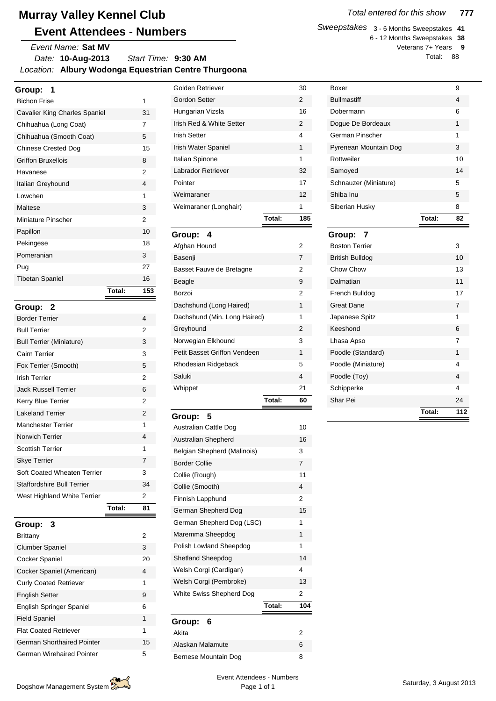*Date:* **10-Aug-2013** *Location:* **Albury Wodonga Equestrian Centre Thurgoona** *Start Time:* **9:30 AM** *Event Name:* **Sat MV**

| Group:<br>1                       |        |     |
|-----------------------------------|--------|-----|
| <b>Bichon Frise</b>               |        | 1   |
| Cavalier King Charles Spaniel     |        | 31  |
| Chihuahua (Long Coat)             |        | 7   |
| Chihuahua (Smooth Coat)           |        | 5   |
| <b>Chinese Crested Dog</b>        |        | 15  |
| <b>Griffon Bruxellois</b>         |        | 8   |
| Havanese                          |        | 2   |
| Italian Greyhound                 |        | 4   |
| Lowchen                           |        | 1   |
| Maltese                           |        | 3   |
| Miniature Pinscher                |        | 2   |
| Papillon                          |        | 10  |
| Pekingese                         |        | 18  |
| Pomeranian                        |        | 3   |
| Pug                               |        | 27  |
| <b>Tibetan Spaniel</b>            |        | 16  |
|                                   | Total: | 153 |
| Group:<br>- 2                     |        |     |
| <b>Border Terrier</b>             |        | 4   |
|                                   |        |     |
| <b>Bull Terrier</b>               |        | 2   |
| <b>Bull Terrier (Miniature)</b>   |        | 3   |
| Cairn Terrier                     |        | 3   |
| Fox Terrier (Smooth)              |        | 5   |
| <b>Irish Terrier</b>              |        | 2   |
| <b>Jack Russell Terrier</b>       |        | 6   |
| Kerry Blue Terrier                |        | 2   |
| <b>Lakeland Terrier</b>           |        | 2   |
| <b>Manchester Terrier</b>         |        | 1   |
| Norwich Terrier                   |        | 4   |
| <b>Scottish Terrier</b>           |        | 1   |
| <b>Skye Terrier</b>               |        | 7   |
| Soft Coated Wheaten Terrier       |        | 3   |
| <b>Staffordshire Bull Terrier</b> |        | 34  |
| West Highland White Terrier       |        | 2   |
|                                   | Total: | 81  |
|                                   |        |     |
| Group:<br>3<br><b>Brittany</b>    |        | 2   |

| DHUdHY                            | ∠  |
|-----------------------------------|----|
| <b>Clumber Spaniel</b>            | 3  |
| <b>Cocker Spaniel</b>             | 20 |
| Cocker Spaniel (American)         | 4  |
| <b>Curly Coated Retriever</b>     | 1  |
| <b>English Setter</b>             | 9  |
| <b>English Springer Spaniel</b>   | 6  |
| <b>Field Spaniel</b>              | 1  |
| <b>Flat Coated Retriever</b>      | 1  |
| <b>German Shorthaired Pointer</b> | 15 |
| <b>German Wirehaired Pointer</b>  | 5  |

| Gordon Setter            |        | 2   |
|--------------------------|--------|-----|
| Hungarian Vizsla         |        | 16  |
| Irish Red & White Setter |        | 2   |
| Irish Setter             |        | 4   |
| Irish Water Spaniel      |        | 1   |
| Italian Spinone          |        | 1   |
| I abrador Retriever      |        | 32  |
| Pointer                  |        | 17  |
| Weimaraner               |        | 12  |
| Weimaraner (Longhair)    |        | 1   |
|                          | Total: | 185 |

| Group:<br>4                  |    |
|------------------------------|----|
| Afghan Hound                 | 2  |
| Basenji                      | 7  |
| Basset Fauve de Bretagne     | 2  |
| Beagle                       | 9  |
| Borzoi                       | 2  |
| Dachshund (Long Haired)      | 1  |
| Dachshund (Min. Long Haired) | 1  |
| Greyhound                    | 2  |
| Norwegian Elkhound           | 3  |
| Petit Basset Griffon Vendeen | 1  |
| Rhodesian Ridgeback          | 5  |
| Saluki                       | 4  |
| Whippet                      | 21 |
| Total:                       | 60 |

| Group:<br>5                  |        |                |
|------------------------------|--------|----------------|
| <b>Australian Cattle Dog</b> |        | 10             |
| <b>Australian Shepherd</b>   |        | 16             |
| Belgian Shepherd (Malinois)  |        | 3              |
| <b>Border Collie</b>         |        | 7              |
| Collie (Rough)               |        | 11             |
| Collie (Smooth)              |        | 4              |
| Finnish Lapphund             |        | 2              |
| German Shepherd Dog          |        | 15             |
| German Shepherd Dog (LSC)    |        | 1              |
| Maremma Sheepdog             |        | 1              |
| Polish Lowland Sheepdog      |        | 1              |
| Shetland Sheepdog            |        | 14             |
| Welsh Corgi (Cardigan)       |        | 4              |
| Welsh Corgi (Pembroke)       |        | 13             |
| White Swiss Shepherd Dog     |        | $\overline{2}$ |
|                              | Total: | 104            |
| Group:<br>6                  |        |                |
| Akita                        |        | 2              |
| Alaskan Malamute             |        | 6              |
| Bernese Mountain Dog         |        | 8              |

*Sweepstakes* 3 - 6 Months Sweepstakes **41**

6 - 12 Months Sweepstakes **38** Veterans 7+ Years **9**

Total: 88

| Boxer                  |        | 9   |
|------------------------|--------|-----|
| <b>Bullmastiff</b>     |        | 4   |
| Dobermann              |        | 6   |
| Dogue De Bordeaux      |        | 1   |
| German Pinscher        |        | 1   |
| Pyrenean Mountain Dog  |        | 3   |
| Rottweiler             |        | 10  |
| Samoyed                |        | 14  |
| Schnauzer (Miniature)  |        | 5   |
| Shiba Inu              |        | 5   |
| Siberian Husky         |        | 8   |
|                        | Total: | 82  |
| Group:<br>7            |        |     |
| <b>Boston Terrier</b>  |        | 3   |
| <b>British Bulldog</b> |        | 10  |
| Chow Chow              |        | 13  |
| Dalmatian              |        | 11  |
| French Bulldog         |        | 17  |
| Great Dane             |        | 7   |
| Japanese Spitz         |        | 1   |
| Keeshond               |        | 6   |
| Lhasa Apso             |        | 7   |
| Poodle (Standard)      |        | 1   |
| Poodle (Miniature)     |        | 4   |
| Poodle (Toy)           |        | 4   |
| Schipperke             |        | 4   |
| Shar Pei               |        | 24  |
|                        | Total: | 112 |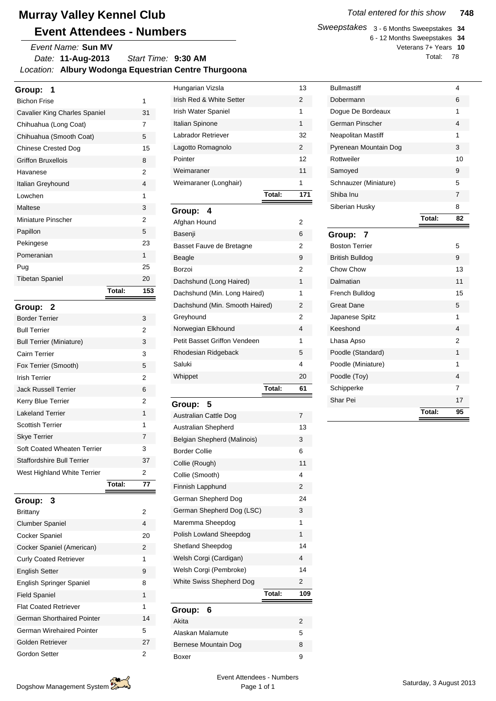*Date:* **11-Aug-2013** *Location:* **Albury Wodonga Equestrian Centre Thurgoona** *Start Time:* **9:30 AM** *Event Name:* **Sun MV**

| Group:<br>1                     |        |     |
|---------------------------------|--------|-----|
| <b>Bichon Frise</b>             |        | 1   |
| Cavalier King Charles Spaniel   |        | 31  |
| Chihuahua (Long Coat)           |        | 7   |
| Chihuahua (Smooth Coat)         |        | 5   |
| <b>Chinese Crested Dog</b>      |        | 15  |
| <b>Griffon Bruxellois</b>       |        | 8   |
| Havanese                        |        | 2   |
| Italian Greyhound               |        | 4   |
| Lowchen                         |        | 1   |
| Maltese                         |        | 3   |
| Miniature Pinscher              |        | 2   |
| Papillon                        |        | 5   |
| Pekingese                       |        | 23  |
| Pomeranian                      |        | 1   |
| Pug                             |        | 25  |
| <b>Tibetan Spaniel</b>          |        | 20  |
|                                 | Total: | 153 |
| Group:<br>- 2                   |        |     |
| <b>Border Terrier</b>           |        | 3   |
| <b>Bull Terrier</b>             |        | 2   |
| <b>Bull Terrier (Miniature)</b> |        | 3   |
| Cairn Terrier                   |        | 3   |
| Fox Terrier (Smooth)            |        | 5   |
| <b>Irish Terrier</b>            |        | 2   |
| <b>Jack Russell Terrier</b>     |        | 6   |
| Kerry Blue Terrier              |        | 2   |
| <b>Lakeland Terrier</b>         |        | 1   |
| <b>Scottish Terrier</b>         |        | 1   |
| <b>Skye Terrier</b>             |        | 7   |
| Soft Coated Wheaten Terrier     |        | 3   |
| Staffordshire Bull Terrier      |        | 37  |
| West Highland White Terrier     |        | 2   |
|                                 | Total: | 77  |
| 3<br>Group:                     |        |     |
| Brittany                        |        | 2   |
| <b>Clumber Spaniel</b>          |        | 4   |
| Cocker Spaniel                  |        | 20  |
| Cocker Spaniel (American)       |        | 2   |
| <b>Curly Coated Retriever</b>   |        | 1   |
| <b>English Setter</b>           |        | 9   |
| English Springer Spaniel        |        | 8   |
| <b>Field Spaniel</b>            |        | 1   |

| Hungarian Vizsla               |        | 13             |
|--------------------------------|--------|----------------|
| Irish Red & White Setter       |        | 2              |
| Irish Water Spaniel            |        | 1              |
| Italian Spinone                |        | 1              |
| Labrador Retriever             |        | 32             |
| Lagotto Romagnolo              |        | $\overline{2}$ |
| Pointer                        |        | 12             |
| Weimaraner                     |        | 11             |
| Weimaraner (Longhair)          |        | 1              |
|                                | Total: | 171            |
| Group:<br>4                    |        |                |
| Afghan Hound                   |        | 2              |
| Basenji                        |        | 6              |
| Basset Fauve de Bretagne       |        | 2              |
| <b>Beagle</b>                  |        | 9              |
| Borzoi                         |        | 2              |
| Dachshund (Long Haired)        |        | 1              |
| Dachshund (Min. Long Haired)   |        | 1              |
| Dachshund (Min. Smooth Haired) |        | 2              |
| Greyhound                      |        | 2              |
| Norwegian Elkhound             |        | 4              |
| Petit Basset Griffon Vendeen   |        | 1              |
| Rhodesian Ridgeback            |        | 5              |
| Saluki                         |        | 4              |
| Whippet                        |        | 20             |
|                                | Total: | 61             |
| Group:<br>5                    |        |                |
| Australian Cattle Dog          |        | 7              |

| <b>Australian Cattle Dog</b> |        | $\overline{7}$ |
|------------------------------|--------|----------------|
| <b>Australian Shepherd</b>   |        | 13             |
| Belgian Shepherd (Malinois)  |        | 3              |
| <b>Border Collie</b>         |        | 6              |
| Collie (Rough)               |        | 11             |
| Collie (Smooth)              |        | 4              |
| Finnish Lapphund             |        | $\mathfrak{p}$ |
| German Shepherd Dog          |        | 24             |
| German Shepherd Dog (LSC)    |        | 3              |
| Maremma Sheepdog             |        | 1              |
| Polish Lowland Sheepdog      |        | 1              |
| Shetland Sheepdog            |        | 14             |
| Welsh Corgi (Cardigan)       |        | 4              |
| Welsh Corgi (Pembroke)       |        | 14             |
| White Swiss Shepherd Dog     |        | 2              |
|                              | Total: | 109            |
| 6<br>Group:                  |        |                |
| Akita                        |        | $\mathfrak{p}$ |
| Alaskan Malamute             |        | 5              |
| <b>Bernese Mountain Dog</b>  |        | 8              |
|                              |        |                |

*Sweepstakes* 3 - 6 Months Sweepstakes **34** 6 - 12 Months Sweepstakes **34** Veterans 7+ Years **10**

Total: 78

| <b>Bullmastiff</b>     |        | 4  |
|------------------------|--------|----|
| Dobermann              |        | 6  |
| Dogue De Bordeaux      |        | 1  |
| German Pinscher        |        | 4  |
| Neapolitan Mastiff     |        | 1  |
| Pyrenean Mountain Dog  |        | 3  |
| Rottweiler             |        | 10 |
| Samoyed                |        | 9  |
| Schnauzer (Miniature)  |        | 5  |
| Shiba Inu              |        | 7  |
| Siberian Husky         |        | 8  |
|                        | Total: | 82 |
| Group:<br>7            |        |    |
| <b>Boston Terrier</b>  |        | 5  |
| <b>British Bulldog</b> |        | 9  |
| Chow Chow              |        | 13 |
| Dalmatian              |        | 11 |
| French Bulldog         |        | 15 |
| <b>Great Dane</b>      |        | 5  |
| Japanese Spitz         |        | 1  |
| Keeshond               |        | 4  |
| Lhasa Apso             |        | 2  |
| Poodle (Standard)      |        | 1  |
| Poodle (Miniature)     |        | 1  |
| Poodle (Toy)           |        | 4  |
| Schipperke             |        | 7  |
| Shar Pei               |        | 17 |
|                        | Total: | 95 |

Flat Coated Retriever 1 German Shorthaired Pointer 14 German Wirehaired Pointer 5 Golden Retriever 27 Gordon Setter 2

Boxer 9